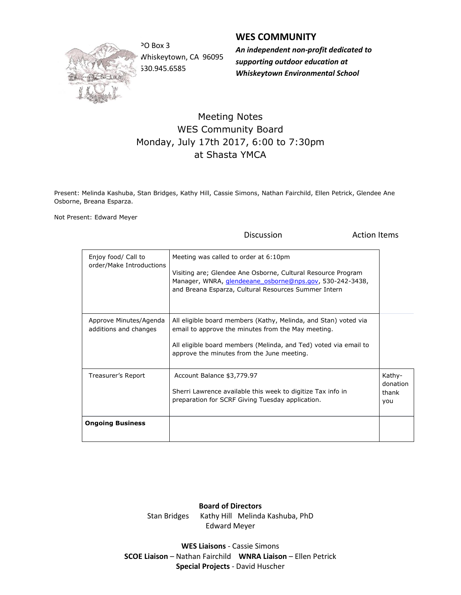

PO Box 3 Whiskeytown, CA 96095 530.945.6585

## **WES COMMUNITY**

*An independent non-profit dedicated to supporting outdoor education at Whiskeytown Environmental School*

## Meeting Notes WES Community Board Monday, July 17th 2017, 6:00 to 7:30pm at Shasta YMCA

Present: Melinda Kashuba, Stan Bridges, Kathy Hill, Cassie Simons, Nathan Fairchild, Ellen Petrick, Glendee Ane Osborne, Breana Esparza.

Not Present: Edward Meyer

Discussion **Action** Items

| Enjoy food/ Call to<br>order/Make Introductions | Meeting was called to order at 6:10pm<br>Visiting are; Glendee Ane Osborne, Cultural Resource Program<br>Manager, WNRA, <i>glendeeane</i> osborne@nps.gov, 530-242-3438,<br>and Breana Esparza, Cultural Resources Summer Intern        |                                    |
|-------------------------------------------------|-----------------------------------------------------------------------------------------------------------------------------------------------------------------------------------------------------------------------------------------|------------------------------------|
| Approve Minutes/Agenda<br>additions and changes | All eligible board members (Kathy, Melinda, and Stan) voted via<br>email to approve the minutes from the May meeting.<br>All eligible board members (Melinda, and Ted) voted via email to<br>approve the minutes from the June meeting. |                                    |
| Treasurer's Report                              | Account Balance \$3,779.97<br>Sherri Lawrence available this week to digitize Tax info in<br>preparation for SCRF Giving Tuesday application.                                                                                           | Kathy-<br>donation<br>thank<br>you |
| <b>Ongoing Business</b>                         |                                                                                                                                                                                                                                         |                                    |

**Board of Directors** Stan Bridges Kathy Hill Melinda Kashuba, PhD Edward Meyer

**WES Liaisons** - Cassie Simons **SCOE Liaison** – Nathan Fairchild **WNRA Liaison** – Ellen Petrick **Special Projects** - David Huscher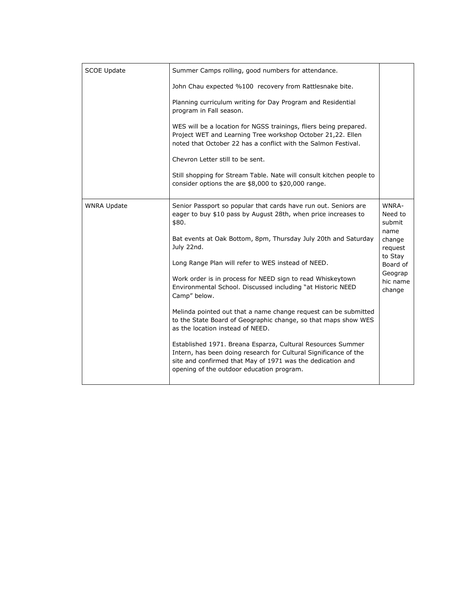| <b>SCOE Update</b> | Summer Camps rolling, good numbers for attendance.<br>John Chau expected %100 recovery from Rattlesnake bite.                                                                                                                              |                                                                                                                 |
|--------------------|--------------------------------------------------------------------------------------------------------------------------------------------------------------------------------------------------------------------------------------------|-----------------------------------------------------------------------------------------------------------------|
|                    | Planning curriculum writing for Day Program and Residential<br>program in Fall season.                                                                                                                                                     |                                                                                                                 |
|                    | WES will be a location for NGSS trainings, fliers being prepared.<br>Project WET and Learning Tree workshop October 21,22. Ellen<br>noted that October 22 has a conflict with the Salmon Festival.                                         |                                                                                                                 |
|                    | Chevron Letter still to be sent.                                                                                                                                                                                                           |                                                                                                                 |
|                    | Still shopping for Stream Table. Nate will consult kitchen people to<br>consider options the are \$8,000 to \$20,000 range.                                                                                                                |                                                                                                                 |
| <b>WNRA Update</b> | Senior Passport so popular that cards have run out. Seniors are<br>eager to buy \$10 pass by August 28th, when price increases to<br>\$80.                                                                                                 | WNRA-<br>Need to<br>submit<br>name<br>change<br>request<br>to Stay<br>Board of<br>Geograp<br>hic name<br>change |
|                    | Bat events at Oak Bottom, 8pm, Thursday July 20th and Saturday<br>July 22nd.                                                                                                                                                               |                                                                                                                 |
|                    | Long Range Plan will refer to WES instead of NEED.                                                                                                                                                                                         |                                                                                                                 |
|                    | Work order is in process for NEED sign to read Whiskeytown<br>Environmental School. Discussed including "at Historic NEED<br>Camp" below.                                                                                                  |                                                                                                                 |
|                    | Melinda pointed out that a name change request can be submitted<br>to the State Board of Geographic change, so that maps show WES<br>as the location instead of NEED.                                                                      |                                                                                                                 |
|                    | Established 1971. Breana Esparza, Cultural Resources Summer<br>Intern, has been doing research for Cultural Significance of the<br>site and confirmed that May of 1971 was the dedication and<br>opening of the outdoor education program. |                                                                                                                 |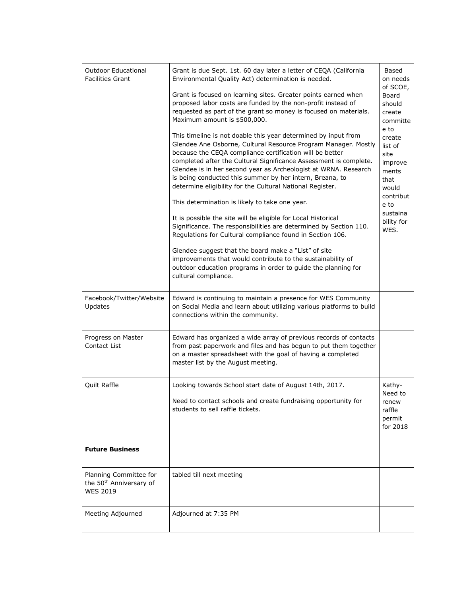| <b>Outdoor Educational</b>                                                       | Grant is due Sept. 1st. 60 day later a letter of CEQA (California                                                                                                                                                                                                                                                                                                                                                                                                                                                                                                                                                                                                                                                                                                          | Based                                                                                                                         |
|----------------------------------------------------------------------------------|----------------------------------------------------------------------------------------------------------------------------------------------------------------------------------------------------------------------------------------------------------------------------------------------------------------------------------------------------------------------------------------------------------------------------------------------------------------------------------------------------------------------------------------------------------------------------------------------------------------------------------------------------------------------------------------------------------------------------------------------------------------------------|-------------------------------------------------------------------------------------------------------------------------------|
| <b>Facilities Grant</b>                                                          | Environmental Quality Act) determination is needed.                                                                                                                                                                                                                                                                                                                                                                                                                                                                                                                                                                                                                                                                                                                        | on needs<br>of SCOE,                                                                                                          |
|                                                                                  | Grant is focused on learning sites. Greater points earned when<br>proposed labor costs are funded by the non-profit instead of<br>requested as part of the grant so money is focused on materials.<br>Maximum amount is \$500,000.                                                                                                                                                                                                                                                                                                                                                                                                                                                                                                                                         | Board<br>should<br>create<br>committe                                                                                         |
|                                                                                  | This timeline is not doable this year determined by input from<br>Glendee Ane Osborne, Cultural Resource Program Manager. Mostly<br>because the CEQA compliance certification will be better<br>completed after the Cultural Significance Assessment is complete.<br>Glendee is in her second year as Archeologist at WRNA. Research<br>is being conducted this summer by her intern, Breana, to<br>determine eligibility for the Cultural National Register.<br>This determination is likely to take one year.<br>It is possible the site will be eligible for Local Historical<br>Significance. The responsibilities are determined by Section 110.<br>Regulations for Cultural compliance found in Section 106.<br>Glendee suggest that the board make a "List" of site | e to<br>create<br>list of<br>site<br>improve<br>ments<br>that<br>would<br>contribut<br>e to<br>sustaina<br>bility for<br>WES. |
|                                                                                  | improvements that would contribute to the sustainability of<br>outdoor education programs in order to guide the planning for<br>cultural compliance.                                                                                                                                                                                                                                                                                                                                                                                                                                                                                                                                                                                                                       |                                                                                                                               |
| Facebook/Twitter/Website<br>Updates                                              | Edward is continuing to maintain a presence for WES Community<br>on Social Media and learn about utilizing various platforms to build<br>connections within the community.                                                                                                                                                                                                                                                                                                                                                                                                                                                                                                                                                                                                 |                                                                                                                               |
| Progress on Master<br>Contact List                                               | Edward has organized a wide array of previous records of contacts<br>from past paperwork and files and has begun to put them together<br>on a master spreadsheet with the goal of having a completed<br>master list by the August meeting.                                                                                                                                                                                                                                                                                                                                                                                                                                                                                                                                 |                                                                                                                               |
| Quilt Raffle                                                                     | Looking towards School start date of August 14th, 2017.<br>Need to contact schools and create fundraising opportunity for                                                                                                                                                                                                                                                                                                                                                                                                                                                                                                                                                                                                                                                  | Kathy-<br>Need to                                                                                                             |
|                                                                                  | students to sell raffle tickets.                                                                                                                                                                                                                                                                                                                                                                                                                                                                                                                                                                                                                                                                                                                                           | renew<br>raffle<br>permit<br>for 2018                                                                                         |
| <b>Future Business</b>                                                           |                                                                                                                                                                                                                                                                                                                                                                                                                                                                                                                                                                                                                                                                                                                                                                            |                                                                                                                               |
| Planning Committee for<br>the 50 <sup>th</sup> Anniversary of<br><b>WES 2019</b> | tabled till next meeting                                                                                                                                                                                                                                                                                                                                                                                                                                                                                                                                                                                                                                                                                                                                                   |                                                                                                                               |
| Meeting Adjourned                                                                | Adjourned at 7:35 PM                                                                                                                                                                                                                                                                                                                                                                                                                                                                                                                                                                                                                                                                                                                                                       |                                                                                                                               |